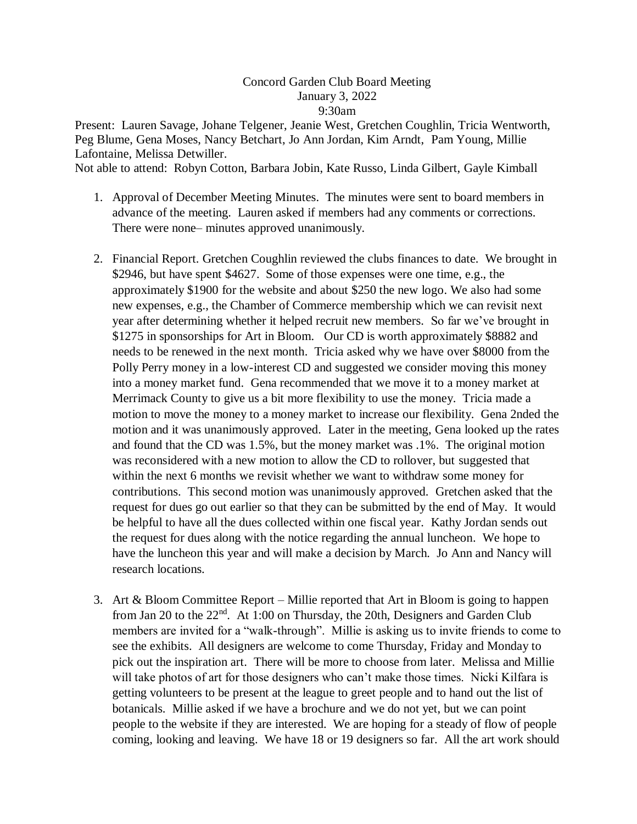## Concord Garden Club Board Meeting January 3, 2022 9:30am

Present: Lauren Savage, Johane Telgener, Jeanie West, Gretchen Coughlin, Tricia Wentworth, Peg Blume, Gena Moses, Nancy Betchart, Jo Ann Jordan, Kim Arndt, Pam Young, Millie Lafontaine, Melissa Detwiller.

Not able to attend: Robyn Cotton, Barbara Jobin, Kate Russo, Linda Gilbert, Gayle Kimball

- 1. Approval of December Meeting Minutes. The minutes were sent to board members in advance of the meeting. Lauren asked if members had any comments or corrections. There were none– minutes approved unanimously.
- 2. Financial Report. Gretchen Coughlin reviewed the clubs finances to date. We brought in \$2946, but have spent \$4627. Some of those expenses were one time, e.g., the approximately \$1900 for the website and about \$250 the new logo. We also had some new expenses, e.g., the Chamber of Commerce membership which we can revisit next year after determining whether it helped recruit new members. So far we've brought in \$1275 in sponsorships for Art in Bloom. Our CD is worth approximately \$8882 and needs to be renewed in the next month. Tricia asked why we have over \$8000 from the Polly Perry money in a low-interest CD and suggested we consider moving this money into a money market fund. Gena recommended that we move it to a money market at Merrimack County to give us a bit more flexibility to use the money. Tricia made a motion to move the money to a money market to increase our flexibility. Gena 2nded the motion and it was unanimously approved. Later in the meeting, Gena looked up the rates and found that the CD was 1.5%, but the money market was .1%. The original motion was reconsidered with a new motion to allow the CD to rollover, but suggested that within the next 6 months we revisit whether we want to withdraw some money for contributions. This second motion was unanimously approved. Gretchen asked that the request for dues go out earlier so that they can be submitted by the end of May. It would be helpful to have all the dues collected within one fiscal year. Kathy Jordan sends out the request for dues along with the notice regarding the annual luncheon. We hope to have the luncheon this year and will make a decision by March. Jo Ann and Nancy will research locations.
- 3. Art & Bloom Committee Report Millie reported that Art in Bloom is going to happen from Jan 20 to the 22<sup>nd</sup>. At 1:00 on Thursday, the 20th, Designers and Garden Club members are invited for a "walk-through". Millie is asking us to invite friends to come to see the exhibits. All designers are welcome to come Thursday, Friday and Monday to pick out the inspiration art. There will be more to choose from later. Melissa and Millie will take photos of art for those designers who can't make those times. Nicki Kilfara is getting volunteers to be present at the league to greet people and to hand out the list of botanicals. Millie asked if we have a brochure and we do not yet, but we can point people to the website if they are interested. We are hoping for a steady of flow of people coming, looking and leaving. We have 18 or 19 designers so far. All the art work should